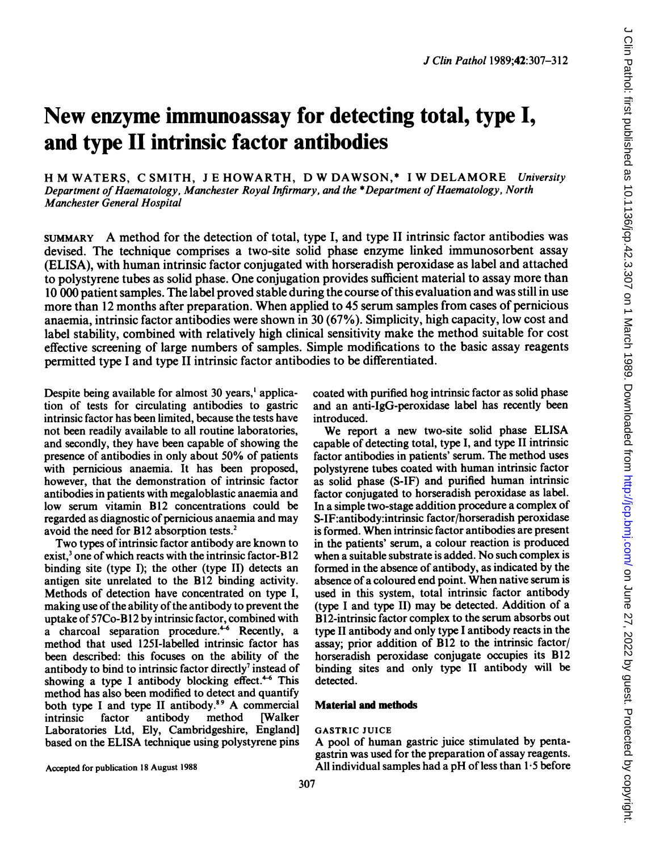# New enzyme immunoassay for detecting total, type I, and type II intrinsic factor antibodies

H M WATERS, C SMITH, J E HOWARTH, D W DAWSON,\* I W DELAMORE University Department of Haematology, Manchester Royal Infirmary, and the \*Department of Haematology, North Manchester General Hospital

SUMMARY A method for the detection of total, type I, and type II intrinsic factor antibodies was devised. The technique comprises a two-site solid phase enzyme linked immunosorbent assay (ELISA), with human intrinsic factor conjugated with horseradish peroxidase as label and attached to polystyrene tubes as solid phase. One conjugation provides sufficient material to assay more than 10 000 patient samples. The label proved stable during the course ofthis evaluation and was still in use more than <sup>12</sup> months after preparation. When applied to 45 serum samples from cases of pernicious anaemia, intrinsic factor antibodies were shown in 30 (67%). Simplicity, high capacity, low cost and label stability, combined with relatively high clinical sensitivity make the method suitable for cost effective screening of large numbers of samples. Simple modifications to the basic assay reagents permitted type <sup>I</sup> and type II intrinsic factor antibodies to be differentiated.

Despite being available for almost 30 years,' application of tests for circulating antibodies to gastric intrinsic factor has been limited, because the tests have not been readily available to all routine laboratories, and secondly, they have been capable of showing the presence of antibodies in only about 50% of patients with pernicious anaemia. It has been proposed, however, that the demonstration of intrinsic factor antibodies in patients with megaloblastic anaemia and low serum vitamin B12 concentrations could be regarded as diagnostic of pernicious anaemia and may avoid the need for B12 absorption tests.2

Two types of intrinsic factor antibody are known to exist,<sup>3</sup> one of which reacts with the intrinsic factor-B12 binding site (type I); the other (type II) detects an antigen site unrelated to the B12 binding activity. Methods of detection have concentrated on type I, making use of the ability of the antibody to prevent the uptake of 57Co-B12 by intrinsic factor, combined with a charcoal separation procedure.<sup>46</sup> Recently, a method that used 1251-labelled intrinsic factor has been described: this focuses on the ability of the antibody to bind to intrinsic factor directly' instead of showing a type I antibody blocking effect.<sup>4-6</sup> This method has also been modified to detect and quantify both type I and type II antibody.<sup>89</sup> A commercial<br>intrinsic factor antibody method [Walker intrinsic factor antibody Laboratories Ltd, Ely, Cambridgeshire, England] based on the ELISA technique using polystyrene pins coated with purified hog intrinsic factor as solid phase and an anti-IgG-peroxidase label has recently been introduced.

We report <sup>a</sup> new two-site solid phase ELISA capable of detecting total, type I, and type II intrinsic factor antibodies in patients' serum. The method uses polystyrene tubes coated with human intrinsic factor as solid phase (S-IF) and purified human intrinsic factor conjugated to horseradish peroxidase as label. In a simple two-stage addition procedure a complex of S-IF:antibody:intrinsic factor/horseradish peroxidase is formed. When intrinsic factor antibodies are present in the patients' serum, a colour reaction is produced when <sup>a</sup> suitable substrate is added. No such complex is formed in the absence of antibody, as indicated by the absence of a coloured end point. When native serum is used in this system, total intrinsic factor antibody (type <sup>I</sup> and type II) may be detected. Addition of a B12-intrinsic factor complex to the serum absorbs out type II antibody and only type <sup>I</sup> antibody reacts in the assay; prior addition of B12 to the intrinsic factor/ horseradish peroxidase conjugate occupies its B12 binding sites and only type II antibody will be detected.

# Material and methods

# GASTRIC JUICE

A pool of human gastric juice stimulated by pentagastrin was used for the preparation of assay reagents. All individual samples had <sup>a</sup> pH of less than 1.5 before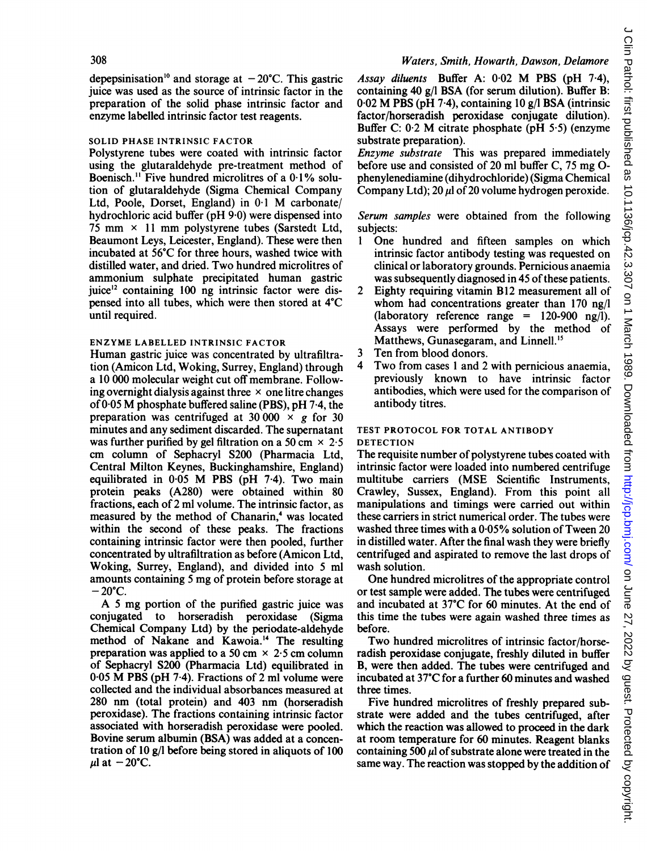# Waters, Smith, Howarth, Dawson, Delamore

depepsinisation<sup>10</sup> and storage at  $-20^{\circ}$ C. This gastric juice was used as the source of intrinsic factor in the preparation of the solid phase intrinsic factor and enzyme labelled intrinsic factor test reagents.

#### SOLID PHASE INTRINSIC FACTOR

Polystyrene tubes were coated with intrinsic factor using the glutaraldehyde pre-treatment method of Boenisch.<sup>11</sup> Five hundred microlitres of a 0.1% solution of glutaraldehyde (Sigma Chemical Company Ltd, Poole, Dorset, England) in 0-1 M carbonate/ hydrochloric acid buffer  $(pH 90)$  were dispensed into 75 mm  $\times$  11 mm polystyrene tubes (Sarstedt Ltd, Beaumont Leys, Leicester, England). These were then incubated at 56°C for three hours, washed twice with distilled water, and dried. Two hundred microlitres of ammonium sulphate precipitated human gastric juice<sup>12</sup> containing 100 ng intrinsic factor were dispensed into all tubes, which were then stored at 4°C until required.

# ENZYME LABELLED INTRINSIC FACTOR

Human gastric juice was concentrated by ultrafiltration (Amicon Ltd, Woking, Surrey, England) through a 10 000 molecular weight cut off membrane. Following overnight dialysis against three  $\times$  one litre changes of  $0.05$  M phosphate buffered saline (PBS), pH 7.4, the preparation was centrifuged at 30 000  $\times$  g for 30 minutes and any sediment discarded. The supernatant was further purified by gel filtration on a 50 cm  $\times$  2.5 cm column of Sephacryl S200 (Pharmacia Ltd, Central Milton Keynes, Buckinghamshire, England) equilibrated in 0-05 M PBS (pH 7.4). Two main protein peaks (A280) were obtained within 80 fractions, each of 2 ml volume. The intrinsic factor, as measured by the method of Chanarin,<sup>4</sup> was located within the second of these peaks. The fractions containing intrinsic factor were then pooled, further concentrated by ultrafiltration as before (Amicon Ltd, Woking, Surrey, England), and divided into 5 ml amounts containing <sup>5</sup> mg of protein before storage at  $-20^{\circ}$ C.

A <sup>5</sup> mg portion of the purified gastric juice was conjugated to horseradish peroxidase (Sigma Chemical Company Ltd) by the periodate-aldehyde method of Nakane and Kawoia.'4 The resulting preparation was applied to a 50 cm  $\times$  2.5 cm column of Sephacryl S200 (Pharmacia Ltd) equilibrated in <sup>0</sup> <sup>05</sup> M PBS (pH 7-4). Fractions of <sup>2</sup> ml volume were collected and the individual absorbances measured at <sup>280</sup> nm (total protein) and <sup>403</sup> nm (horseradish peroxidase). The fractions containing intrinsic factor associated with horseradish peroxidase were pooled. Bovine serum albumin (BSA) was added at a concentration of 10 g/l before being stored in aliquots of 100  $\mu$ l at  $-20^{\circ}$ C.

Assay diluents Buffer A: 0-02 M PBS (pH 7.4), containing 40 g/l BSA (for serum dilution). Buffer B: 0-02 M PBS (pH 7-4), containing <sup>10</sup> g/l BSA (intrinsic factor/horseradish peroxidase conjugate dilution). Buffer C:  $0.2$  M citrate phosphate (pH  $5.5$ ) (enzyme substrate preparation).

Enzyme substrate This was prepared immediately before use and consisted of 20 ml buffer C, 75 mg 0 phenylenediamine (dihydrochloride) (Sigma Chemical Company Ltd): 20 µ of 20 volume hydrogen peroxide.

Serum samples were obtained from the following subjects:<br>1 One

- One hundred and fifteen samples on which intrinsic factor antibody testing was requested on clinical or laboratory grounds. Pernicious anaemia was subsequently diagnosed in 45 of these patients.
- 2 Eighty requiring vitamin B12 measurement all of whom had concentrations greater than <sup>170</sup> ng/l (laboratory reference range  $= 120-900$  ng/l). Assays were performed by the method of Matthews, Gunasegaram, and Linnell.<sup>15</sup>
- 3 Ten from blood donors.<br>4 Two from cases 1 and 2
- Two from cases 1 and 2 with pernicious anaemia, previously known to have intrinsic factor antibodies, which were used for the comparison of antibody titres.

#### TEST PROTOCOL FOR TOTAL ANTIBODY DETECTION

The requisite number of polystyrene tubes coated with intrinsic factor were loaded into numbered centrifuge multitube carriers (MSE Scientific Instruments, Crawley, Sussex, England). From this point all manipulations and timings were carried out within these carriers in strict numerical order. The tubes were washed three times with a 0.05% solution of Tween 20 in distilled water. After the final wash they were briefly centrifuged and aspirated to remove the last drops of wash solution.

One hundred microlitres of the appropriate control or test sample were added. The tubes were centrifuged and incubated at 37°C for 60 minutes. At the end of this time the tubes were again washed three times as before.

Two hundred microlitres of intrinsic factor/horseradish peroxidase conjugate, freshly diluted in buffer B, were then added. The tubes were centrifuged and incubated at 37°C for a further 60 minutes and washed three times.

Five hundred microlitres of freshly prepared substrate were added and the tubes centrifuged, after which the reaction was allowed to proceed in the dark at room temperature for 60 minutes. Reagent blanks containing 500  $\mu$  of substrate alone were treated in the same way. The reaction was stopped by the addition of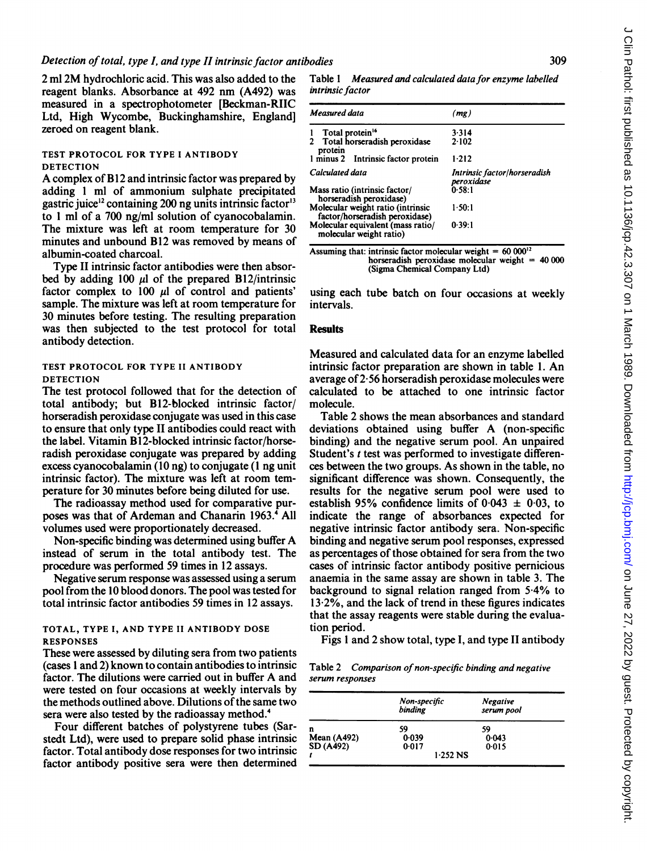<sup>2</sup> ml 2M hydrochloric acid. This was also added to the reagent blanks. Absorbance at 492 nm (A492) was measured in a spectrophotometer [Beckman-RIIC Ltd, High Wycombe, Buckinghamshire, England] zeroed on reagent blank.

# TEST PROTOCOL FOR TYPE <sup>I</sup> ANTIBODY DETECTION

A complex of B12 and intrinsic factor was prepared by adding <sup>1</sup> ml of ammonium sulphate precipitated gastric juice<sup>12</sup> containing 200 ng units intrinsic factor<sup>13</sup> to <sup>1</sup> ml of a 700 ng/ml solution of cyanocobalamin. The mixture was left at room temperature for 30 minutes and unbound B12 was removed by means of albumin-coated charcoal.

Type II intrinsic factor antibodies were then absorbed by adding 100  $\mu$ l of the prepared B12/intrinsic factor complex to  $100 \mu l$  of control and patients' sample. The mixture was left at room temperature for 30 minutes before testing. The resulting preparation was then subjected to the test protocol for total antibody detection.

# TEST PROTOCOL FOR TYPE II ANTIBODY **DETECTION**

The test protocol followed that for the detection of total antibody; but B12-blocked intrinsic factor/ horseradish peroxidase conjugate was used in this case to ensure that only type II antibodies could react with the label. Vitamin B12-blocked intrinsic factor/horseradish peroxidase conjugate was prepared by adding excess cyanocobalamin (10 ng) to conjugate (1 ng unit intrinsic factor). The mixture was left at room temperature for 30 minutes before being diluted for use.

The radioassay method used for comparative purposes was that of Ardeman and Chanarin 1963.<sup>4</sup> All volumes used were proportionately decreased.

Non-specific binding was determined using buffer A instead of serum in the total antibody test. The procedure was performed 59 times in 12 assays.

Negative serum response was assessed using a serum pool from the 10 blood donors. The pool was tested for total intrinsic factor antibodies 59 times in 12 assays.

# TOTAL, TYPE 1, AND TYPE II ANTIBODY DOSE RESPONSES

These were assessed by diluting sera from two patients (cases <sup>1</sup> and 2) known to contain antibodies to intrinsic factor. The dilutions were carried out in buffer A and were tested on four occasions at weekly intervals by the methods outlined above. Dilutions of the same two sera were also tested by the radioassay method.<sup>4</sup>

Four different batches of polystyrene tubes (Sarstedt Ltd), were used to prepare solid phase intrinsic factor. Total antibody dose responses for two intrinsic factor antibody positive sera were then determined Table 1 Measured and calculated data for enzyme labelled intrinsic factor

| Measured data                                                       | (m <sub>R</sub> )                          |
|---------------------------------------------------------------------|--------------------------------------------|
| Total protein <sup>16</sup>                                         | 3.314                                      |
| Total horseradish peroxidase<br>protein                             | $2-102$                                    |
| 1 minus 2 Intrinsic factor protein                                  | 1.212                                      |
| Calculated data                                                     | Intrinsic factor/horseradish<br>peroxidase |
| Mass ratio (intrinsic factor/<br>horseradish peroxidase)            | 0.58:1                                     |
| Molecular weight ratio (intrinsic<br>factor/horseradish peroxidase) | 1.50:1                                     |
| Molecular equivalent (mass ratio/<br>molecular weight ratio)        | 0.39:1                                     |

Assuming that: intrinsic factor molecular weight =  $60\,000^{12}$ horseradish peroxidase molecular weight  $= 40000$ (Sigma Chemical Company Ltd)

using each tube batch on four occasions at weekly intervals.

# Results

Measured and calculated data for an enzyme labelled intrinsic factor preparation are shown in table 1. An average of 2-56 horseradish peroxidase molecules were calculated to be attached to one intrinsic factor molecule.

Table 2 shows the mean absorbances and standard deviations obtained using buffer A (non-specific binding) and the negative serum pool. An unpaired Student's *t* test was performed to investigate differences between the two groups. As shown in the table, no significant difference was shown. Consequently, the results for the negative serum pool were used to establish 95% confidence limits of  $0.043 \pm 0.03$ , to indicate the range of absorbances expected for negative intrinsic factor antibody sera. Non-specific binding and negative serum pool responses, expressed as percentages of those obtained for sera from the two cases of intrinsic factor antibody positive pernicious anaemia in the same assay are shown in table 3. The background to signal relation ranged from 5.4% to 13-2%, and the lack of trend in these figures indicates that the assay reagents were stable during the evaluation period.

Figs <sup>I</sup> and 2 show total, type I, and type II antibody

Table 2 Comparison of non-specific binding and negative serum responses

|                          | Non-specific<br>binding       | Negative<br>serum pool |
|--------------------------|-------------------------------|------------------------|
| n                        | 59<br>0.039                   | 59<br>0.043            |
| Mean (A492)<br>SD (A492) | 0.017<br>1.252 <sub>N</sub> S | 0.015                  |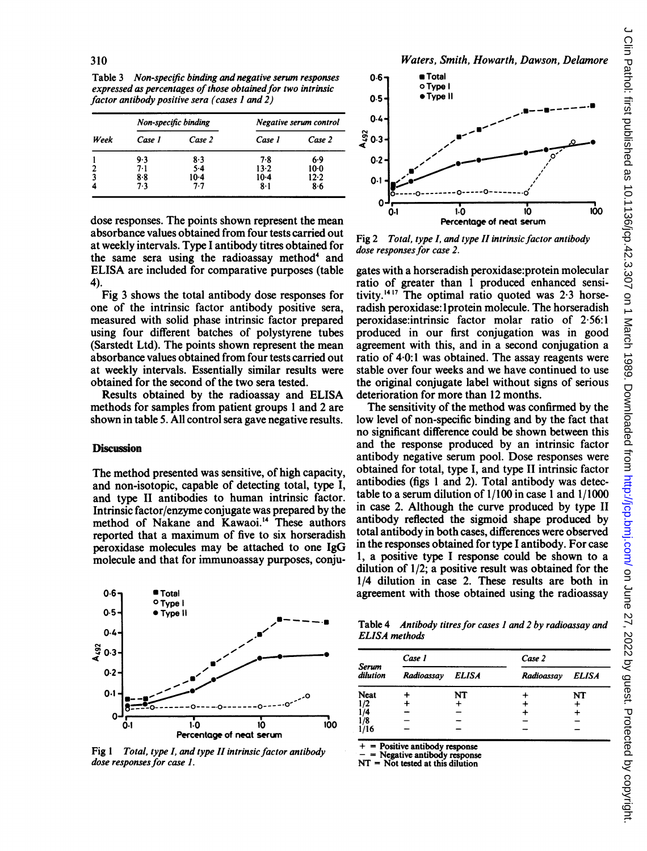Table 3 Non-specific binding and negative serum responses expressed as percentages of those obtained for two intrinsic factor antibody positive sera (cases <sup>1</sup> and 2)

|      | Non-specific binding |        | Negative serum control |        |
|------|----------------------|--------|------------------------|--------|
| Week | Case 1               | Case 2 | Case 1                 | Case 2 |
|      | 9.3                  | 8.3    | 78                     | 6.9    |
| 2    | 7.1                  | 5.4    | $13 - 2$               | $10-0$ |
| 3    | 8.8                  | $10-4$ | $10-4$                 | 12.2   |
| 4    | 7.3                  | 7.7    | $8-1$                  | 8.6    |

dose responses. The points shown represent the mean absorbance values obtained from four tests carried out at weekly intervals. Type <sup>I</sup> antibody titres obtained for the same sera using the radioassay method<sup>4</sup> and ELISA are included for comparative purposes (table 4).

Fig 3 shows the total antibody dose responses for one of the intrinsic factor antibody positive sera, measured with solid phase intrinsic factor prepared using four different batches of polystyrene tubes (Sarstedt Ltd). The points shown represent the mean absorbance values obtained from four tests carried out at weekly intervals. Essentially similar results were obtained for the second of the two sera tested.

Results obtained by the radioassay and ELISA methods for samples from patient groups <sup>1</sup> and 2 are shown in table 5. All control sera gave negative results.

#### **Discussion**

The method presented was sensitive, of high capacity, and non-isotopic, capable of detecting total, type I, and type II antibodies to human intrinsic factor. Intrinsic factor/enzyme conjugate was prepared by the method of Nakane and Kawaoi.'4 These authors reported that a maximum of five to six horseradish peroxidase molecules may be attached to one IgG molecule and that for immunoassay purposes, conju-



Fig <sup>1</sup> Total, type I, and type II intrinsic factor antibody dose responses for case 1.



Fig 2 Total, type I, and type II intrinsic factor antibody dose responses for case 2.

gates with a horseradish peroxidase:protein molecular ratio of greater than <sup>1</sup> produced enhanced sensitivity.<sup>1417</sup> The optimal ratio quoted was  $2.3$  horseradish peroxidase: Iprotein molecule. The horseradish peroxidase:intrinsic factor molar ratio of 2-56:1 produced in our first conjugation was in good agreement with this, and in a second conjugation a ratio of 4-0:1 was obtained. The assay reagents were stable over four weeks and we have continued to use the original conjugate label without signs of serious deterioration for more than 12 months.

The sensitivity of the method was confirmed by the low level of non-specific binding and by the fact that no significant difference could be shown between this and the response produced by an intrinsic factor antibody negative serum pool. Dose responses were obtained for total, type I, and type II intrinsic factor antibodies (figs <sup>1</sup> and 2). Total antibody was detectable to a serum dilution of 1/100 in case <sup>1</sup> and 1/1000 in case 2. Although the curve produced by type II antibody reflected the sigmoid shape produced by total antibody in both cases, differences were observed in the responses obtained for type <sup>I</sup> antibody. For case 1, a positive type <sup>I</sup> response could be shown to a dilution of 1/2; a positive result was obtained for the 1/4 dilution in case 2. These results are both in agreement with those obtained using the radioassay

Table 4 Antibody titres for cases 1 and 2 by radioassay and ELISA methods

|                                                                   | Case 1     |       | Case 2           |    |
|-------------------------------------------------------------------|------------|-------|------------------|----|
| Serum<br>dilution                                                 | Radioassay | ELISA | Radioassay ELISA |    |
| Neat                                                              |            | NT    |                  | NT |
|                                                                   |            |       |                  |    |
|                                                                   |            |       |                  |    |
|                                                                   |            |       |                  |    |
| $\frac{1}{2}$<br>$\frac{1}{4}$<br>$\frac{1}{8}$<br>$\frac{1}{16}$ |            |       |                  |    |

Positive antibody response

Negative antibody response

 $NT = Not$  tested at this dilution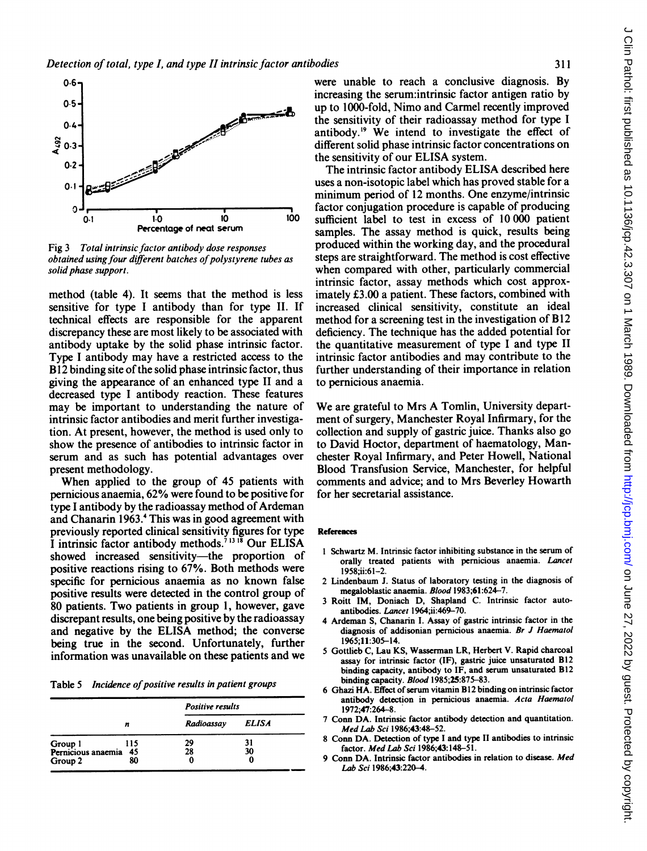

Fig 3 Total intrinsic factor antibody dose responses obtained using four different batches of polystyrene tubes as solid phase support.

method (table 4). It seems that the method is less sensitive for type <sup>I</sup> antibody than for type II. If technical effects are responsible for the apparent discrepancy these are most likely to be associated with antibody uptake by the solid phase intrinsic factor. Type <sup>I</sup> antibody may have a restricted access to the B<sup>12</sup> binding site of the solid phase intrinsic factor, thus giving the appearance of an enhanced type II and a decreased type <sup>I</sup> antibody reaction. These features may be important to understanding the nature of intrinsic factor antibodies and merit further investigation. At present, however, the method is used only to show the presence of antibodies to intrinsic factor in serum and as such has potential advantages over present methodology.

When applied to the group of 45 patients with pernicious anaemia, 62% were found to be positive for type <sup>I</sup> antibody by the radioassay method of Ardeman and Chanarin 1963.4 This was in good agreement with previously reported clinical sensitivity figures for type I intrinsic factor antibody methods.<sup>71318</sup> Our ELISA showed increased sensitivity-the proportion of positive reactions rising to 67%. Both methods were specific for pernicious anaemia as no known false positive results were detected in the control group of 80 patients. Two patients in group 1, however, gave discrepant results, one being positive by the radioassay and negative by the ELISA method; the converse being true in the second. Unfortunately, further information was unavailable on these patients and we

Table 5 Incidence of positive results in patient groups

|                               |     | <b>Positive results</b> |                     |
|-------------------------------|-----|-------------------------|---------------------|
|                               | n   | Radioassay              | <i><b>ELISA</b></i> |
|                               | 115 | 29                      | 31                  |
| Group 1<br>Pernicious anaemia | 45  | 28                      | 30                  |
| Group 2                       | 80  |                         |                     |

were unable to reach a conclusive diagnosis. By increasing the serum:intrinsic factor antigen ratio by up to 1000-fold, Nimo and Carmel recently improved the sensitivity of their radioassay method for type <sup>I</sup> antibody.'9 We intend to investigate the effect of different solid phase intrinsic factor concentrations on the sensitivity of our ELISA system.

The intrinsic factor antibody ELISA described here uses a non-isotopic label which has proved stable for a minimum period of <sup>12</sup> months. One enzyme/intrinsic factor conjugation procedure is capable of producing sufficient label to test in excess of 10 000 patient samples. The assay method is quick, results being produced within the working day, and the procedural steps are straightforward. The method is cost effective when compared with other, particularly commercial intrinsic factor, assay methods which cost approximately £3.00 a patient. These factors, combined with increased clinical sensitivity, constitute an ideal method for a screening test in the investigation of B<sup>12</sup> deficiency. The technique has the added potential for the quantitative measurement of type <sup>I</sup> and type II intrinsic factor antibodies and may contribute to the further understanding of their importance in relation to pernicious anaemia.

We are grateful to Mrs A Tomlin, University department of surgery, Manchester Royal Infirmary, for the collection and supply of gastric juice. Thanks also go to David Hoctor, department of haematology, Manchester Royal Infirmary, and Peter Howell, National Blood Transfusion Service, Manchester, for helpful comments and advice; and to Mrs Beverley Howarth for her secretarial assistance.

#### References

- <sup>I</sup> Schwartz M. Intrinsic factor inhibiting substance in the serum of orally treated patients with pernicious anaemia. Lancet 1958;ii:61-2.
- 2 Lindenbaum J. Status of laboratory testing in the diagnosis of megaloblastic anaemia. Blood 1983;61:624-7.
- 3 Roitt IM, Doniach D, Shapland C. Intrinsic factor autoantibodies. Lancet 1964;ii:469-70.
- 4 Ardeman S, Chanarin I. Assay of gastric intrinsic factor in the diagnosis of addisonian pernicious anaemia. Br J Haematol 1965;11:305-14.
- 5 Gottlieb C, Lau KS, Wasserman LR, Herbert V. Rapid charcoal assay for intrinsic factor (IF), gastric juice unsaturated B12 binding capacity, antibody to IF, and serum unsaturated B12 binding capacity. Blood 1985;25:875-83.
- 6 Ghazi HA. Effect of serum vitamin B12 binding on intrinsic factor antibody detection in pernicious anaemia. Acta Haematol 1972;47:264-8.
- 7 Conn DA. Intrinsic factor antibody detection and quantitation. Med Lab Sci 1986;43:48-52.
- 8 Conn DA. Detection of type <sup>I</sup> and type II antibodies to intrinsic factor. Med Lab Sci 1986;43:148-51.
- Conn DA. Intrinsic factor antibodies in relation to disease. Med Lab Sci 1986;43:220-4.